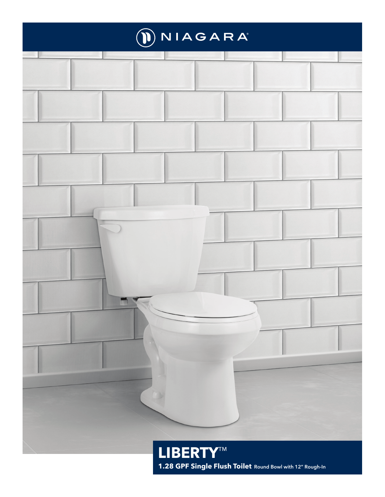

**1.28 GPF Single Flush Toilet Round Bowl with 12" Rough-In**